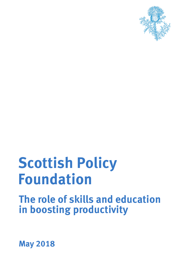

# **Foundation Scottish Policy**

**in boosting productivity The role of skills and education** 

**May 2018**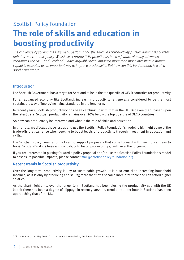### Scottish Policy Foundation

## **The role of skills and education in boosting productivity**

*The challenge of solving the UK's weak performance, the so-called "productivity puzzle" dominates current debates on economic policy. Whilst weak productivity growth has been a feature of many advanced economies, the UK – and Scotland – have arguably been impacted more than most. Investing in human capital is accepted as an important way to improve productivity. But how can this be done, and is it all a good news story?*

#### **Introduction**

The Scottish Government has a target for Scotland to be in the top quartile of OECD countries for productivity.

For an advanced economy like Scotland, increasing productivity is generally considered to be the most sustainable way of improving living standards in the long term.

In recent years, Scottish productivity has been catching up with that in the UK. But even then, based upon the latest data, Scottish productivity remains over 20% below the top quartile of OECD countries.

So how can productivity be improved and what is the role of skills and education?

In this note, we discuss these issues and use the Scottish Policy Foundation's model to highlight some of the trade-offs that can arise when seeking to boost levels of productivity through investment in education and skills.

The Scottish Policy Foundation is keen to support proposals that come forward with new policy ideas to boost Scotland's skills base and contribute to faster productivity growth over the long-run.

If you are interested in putting forward a policy proposal and/or use the Scottish Policy Foundation's model to assess its possible impacts, please contact [mail@scottishpolicyfoundation.org](mailto:mail%40scottishpolicyfoundation.org?subject=SPF%20report%3A%20The%20role%20of%20skills%20and%20education%20in%20boosting%20productivity).

#### **Recent trends in Scottish productivity**

Over the long-term, productivity is key to sustainable growth. It is also crucial to increasing household incomes, as it is only by producing and selling more that firms become more profitable and can afford higher salaries.

As the chart highlights, over the longer-term, Scotland has been closing the productivity gap with the UK (albeit there has been a degree of slippage in recent years), i.e. trend output per hour in Scotland has been approaching that of the UK.

<sup>\*</sup> All data correct as of May 2018. Data and analysis compiled by the Fraser of Allander Institute.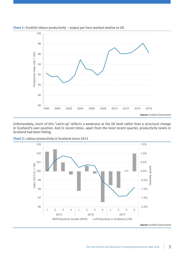

**Chart 1:** Scottish labour productivity – output per hour worked relative to UK

Unfortunately, much of this 'catch-up' reflects a weakness at the UK level rather than a structural change in Scotland's own position. And in recent times, apart from the most recent quarter, productivity levels in Scotland had been falling.



**Chart 2:** Labour productivity in Scotland since 2015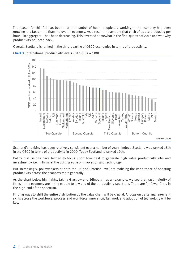The reason for this fall has been that the number of hours people are working in the economy has been growing at a faster rate than the overall economy. As a result, the amount that each of us are producing per hour – in aggregate – has been decreasing. This reversed somewhat in the final quarter of 2017 and was why productivity bounced back.

Overall, Scotland is ranked in the third quartile of OECD economies in terms of productivity.



**Chart 3:** International productivity levels 2016 (USA = 100)

Scotland's ranking has been relatively consistent over a number of years. Indeed Scotland was ranked 18th in the OECD in terms of productivity in 2000. Today Scotland is ranked 19th.

Policy discussions have tended to focus upon how best to generate high value productivity jobs and investment – i.e. in firms at the cutting edge of innovation and technology.

But increasingly, policymakers at both the UK and Scottish level are realising the importance of boosting productivity across the economy more generally.

As the chart below highlights, taking Glasgow and Edinburgh as an example, we see that vast majority of firms in the economy are in the middle to low end of the productivity spectrum. There are far fewer firms in the high-end of the spectrum.

Finding ways to shift the entire distribution up the value chain will be crucial. A focus on better management, skills across the workforce, process and workforce innovation, fair work and adoption of technology will be key.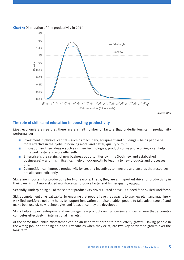

**Chart 4:** Distribution of firm productivity in 2014

#### **The role of skills and education in boosting productivity**

Most economists agree that there are a small number of factors that underlie long-term productivity performance:

- $\blacksquare$  Investment in physical capital such as machinery, equipment and buildings helps people be more effective in their jobs, producing more, and better, quality output;
- $\blacksquare$  Innovation and new ideas such as in new technologies, products or ways of working can help firms work faster and more efficiently;
- Enterprise is the seizing of new business opportunities by firms (both new and established businesses) – and this in itself can help unlock growth by leading to new products and processes; and,
- Competition can improve productivity by creating incentives to innovate and ensures that resources are allocated efficiently.

Skills are important for productivity for two reasons. Firstly, they are an important driver of productivity in their own right. A more skilled workforce can produce faster and higher quality output.

Secondly, underpinning all of these other productivity drivers listed above, is a need for a skilled workforce.

Skills complement physical capital by ensuring that people have the capacity to use new plant and machinery. A skilled workforce not only helps to support innovation but also enables people to take advantage of, and make best use of, new technologies and ideas once they are developed.

Skills help support enterprise and encourage new products and processes and can ensure that a country competes effectively in international markets.

At the same time, skills-mismatches can be an important barrier to productivity growth. Having people in the wrong job, or not being able to fill vacancies when they exist, are two key barriers to growth over the long-term.

*Source: ONS*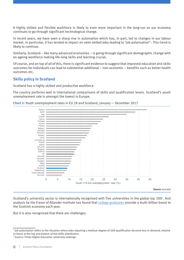A highly skilled and flexible workforce is likely to even more important in the long-run as our economy continues to go through significant technological change.

In recent years, we have seen a sharp rise in automation which has, in part, led to changes in our labour market. In particular, it has tended to impact on semi-skilled jobs leading to 'job polarisation'1. This trend is likely to continue.

Similarly, Scotland – like many advanced economies – is going through significant demographic change with an ageing workforce making life-long skills and learning crucial.

Of course, and on top of all of this, there is significant evidence to suggest that improved education and skills outcomes for individuals can lead to substantial additional – non-economic – benefits such as better health outcomes etc.

#### **Skills policy in Scotland**

Scotland has a highly skilled and productive workforce.

The country performs well in international comparisons of skills and qualification levels. Scotland's youth unemployment rate is amongst the lowest in Europe.



**Chart 5:** Youth unemployment rates in EU 28 and Scotland, January — December 2017

Scotland's university sector is internationally recognised with five universities in the global top 2002. And analysis by the Fraser of Allander Institute has found that [college graduates](https://www.sbs.strath.ac.uk/feeds/news.aspx?id=1327) provide a multi-billion boost to the Scottish economy each year.

But it is also recognised that there are challenges.

<sup>1</sup> Job polarisation refers to the situation where jobs requiring a medium degree of skill qualification become less in demand, relative to those at the top and bottom of the skills distribution.

<sup>2</sup> Source: Times Higher Education university rankings.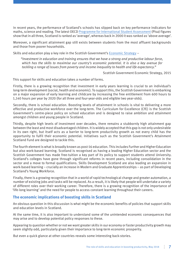In recent years, the performance of Scotland's schools has slipped back on key performance indicators for maths, science and reading. The latest OECD [Programme for International Student Assessment](http://www.gov.scot/Publications/2017/11/7174) (Pisa) figures show that in all three, Scotland is ranked as 'average', whereas back in 2000 it was ranked as 'above average'.

Moreover, a significant attainment gap still exists between students from the most affluent backgrounds and those from poorer households.

Skills and education play a key role in the Scottish Government's [Economic Strategy](https://beta.gov.scot/publications/scotlands-economic-strategy/) –

*"Investment in education and training ensures that we have a strong and productive labour force, which has the skills to maximise our country's economic potential. It is also a key avenue for tackling a range of issues from poverty and income inequality to health and life expectancy."*

Scottish Government Economic Strategy, 2015

This support for skills and education takes a number of forms.

Firstly, there is a growing recognition that investment in early years learning is crucial to an individual's long-term development (social, health and economic). To support this, the Scottish Government is embarking on a major expansion of early learning and childcare by increasing the free entitlement from 600 hours to 1,140 hours per year by 2020 (for all three and four-year-olds and eligible two year-olds).

Secondly, there is school education. Boosting levels of attainment in schools is vital to delivering a more effective and productive workforce over the long-term. The Curriculum for Excellence (CfE) is the Scottish Government's centre-piece policy on school education and is designed to raise ambition and attainment amongst children and young people in Scotland.

Thirdly, despite high levels of investment over decades, there remains a stubbornly high attainment gap between the least and most disadvantaged children. It is widely accepted that this gap is not only undesirable in its own right, but itself acts as a barrier to long-term productivity growth as not every child has the opportunity to fulfil their economic potential. Initiatives such as the Scottish Government's Attainment Scotland Fund are designed to tackle this.

The fourth element is what is broadly known as post-16 education. This includes Further and Higher Education but also work-based learning. Scotland is recognised as having a leading Higher Education sector and the Scottish Government has made free-tuition a key part of its policy to support students attend University. Scotland's colleges have gone through significant reforms in recent years, including consolidation in the sector and a move to formal qualifications. Skills Development Scotland are also leading an expansion in work-based learning – crucially an increase in Modern and Graduate Apprenticeships – as part of Developing Scotland's Young Workforce.

Finally, there is a growing recognition that in a world of rapid technological change and greater automation, a number of existing jobs and tasks will be replaced. As a result, it is likely that people will undertake a variety of different roles over their working career. Therefore, there is a growing recognition of the importance of 'life-long learning' and the need for people to access constant learning throughout their careers.

#### **The economic implications of boosting skills in Scotland**

An obvious question in this discussion is what might be the economic benefits of policies that support skills and education levels in Scotland.

At the same time, it is also important to understand some of the unintended economic consequences that may arise and to develop potential policy responses to these.

Appearing to question whether or not we want greater skills in our economy or faster productivity growth may seem slightly odd, particularly given their importance to long-term economic prosperity.

But even a quick glance at other countries reveals some interesting back-stories.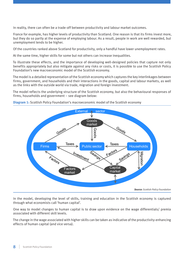In reality, there can often be a trade-off between productivity and labour market outcomes.

France for example, has higher levels of productivity than Scotland. One reason is that its firms invest more, but they do so partly at the expense of employing labour. As a result, people in work are well rewarded, but unemployment tends to be higher.

Of the countries ranked above Scotland for productivity, only a handful have lower unemployment rates.

At the same time, higher skills for some but not others can increase inequalities.

To illustrate these effects, and the importance of developing well-designed policies that capture not only benefits appropriately but also mitigate against any risks or costs, it is possible to use the Scottish Policy Foundation's new macroeconomic model of the Scottish economy.

The model is a detailed representation of the Scottish economy which captures the key interlinkages between firms, government, and households and their interactions in the goods, capital and labour markets, as well as the links with the outside world via trade, migration and foreign investment.

The model reflects the underlying structure of the Scottish economy, but also the behavioural responses of firms, households and government – see diagram below:



**Diagram 1:** Scottish Policy Foundation's macroeconomic model of the Scottish economy

In the model, developing the level of skills, training and education in the Scottish economy is captured through what economists call 'human capital'.

One way to model changes to human capital is to draw upon evidence on the wage differentials/ premia associated with different skill levels.

The change in the wage associated with higher skills can be taken as indicative of the productivity-enhancing effects of human capital (and vice versa).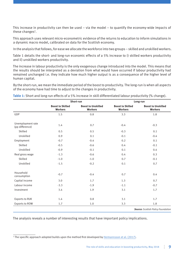This increase in productivity can then be used – via the model – to quantify the economy-wide impacts of these changes<sup>3</sup>.

This approach uses relevant micro-econometric evidence of the returns to education to inform simulations in a dynamic macro model, calibrated on data for the Scottish economy.

In the analysis that follows, for ease we allocate the workforce into two groups – skilled and unskilled workers.

Table 1 details the short- and long-run economic effects of a 5% increase to i) skilled workers productivity and ii) unskilled workers productivity.

The increase in labour productivity is the only exogenous change introduced into the model. This means that the results should be interpreted as a deviation from what would have occurred if labour productivity had remained unchanged i.e. they indicate how much higher output is as a consequence of the higher level of human capital.

By the short-run, we mean the immediate period of the boost to productivity. The long-run is when all aspects of the economy have had time to adjust to the changes in productivity.

**Table 1:** Short and long-run effects of a 5% increase in skill differentiated labour productivity (% change).

|                                      | Short-run                                 |                                             | Long-run                                  |                                             |
|--------------------------------------|-------------------------------------------|---------------------------------------------|-------------------------------------------|---------------------------------------------|
|                                      | <b>Boost to Skilled</b><br><b>Workers</b> | <b>Boost to Unskilled</b><br><b>Workers</b> | <b>Boost to Skilled</b><br><b>Workers</b> | <b>Boost to Unskilled</b><br><b>Workers</b> |
| GDP                                  | 1.5                                       | 0.8                                         | 3.3                                       | 1.8                                         |
| Unemployment rate<br>(pp difference) | 1.4                                       | 0.7                                         | $-0.4$                                    | $-0.3$                                      |
| Skilled                              | 0.5                                       | 0.5                                         | $-0.3$                                    | 0.1                                         |
| Unskilled                            | 0.9                                       | 0.1                                         | $-0.1$                                    | $-0.4$                                      |
| Employment                           | $-0.7$                                    | $-0.4$                                      | 0.2                                       | 0.1                                         |
| Skilled                              | $-0.5$                                    | $-0.6$                                      | 0.4                                       | $-0.1$                                      |
| Unskilled                            | $-0.9$                                    | $-0.1$                                      | 0.1                                       | 0.4                                         |
| Real gross wage                      | $-1.3$                                    | $-0.6$                                      | 0.4                                       | 0.3                                         |
| Skilled                              | $-1.0$                                    | $-1.0$                                      | 0.7                                       | $-0.1$                                      |
| Unskilled                            | $-1.5$                                    | $-0.2$                                      | 0.1                                       | 0.7                                         |
| Household<br>consumption             | $-0.7$                                    | $-0.4$                                      | 0.7                                       | 0.4                                         |
| Capital income                       | 3.0                                       | 1.7                                         | 1.3                                       | 0.7                                         |
| Labour income                        | $-3.3$                                    | $-1.9$                                      | $-1.1$                                    | $-0.7$                                      |
| Investment                           | 3.4                                       | 1.9                                         | 3.1                                       | 1.7                                         |
| Exports to RUK                       | 1.4                                       | 0.8                                         | 3.1                                       | 1.7                                         |
| Exports to ROW                       | 1.7                                       | 1.0                                         | 3.3                                       | 1.8                                         |

The analysis reveals a number of interesting results that have important policy implications.

 $3$  The specific approach adopted builds upon the method first developed by [Hermannsson et al. \(2017\)](https://doi.org/10.1080/17421772.2017.1316417).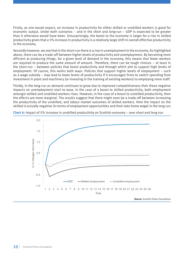Firstly, as one would expect, an increase in productivity for either skilled or unskilled workers is good for economic output. Under both scenarios – and in the short and long-run – GDP is expected to be greater than it otherwise would have been. Unsurprisingly, the boost to the economy is larger for a rise in skilled productivity given that a 5% increase in productivity is a relatively large shift in overall effective productivity in the economy.

Secondly however, we see that in the short-run there is a rise in unemployment in the economy. As highlighted above, there can be a trade-off between higher levels of productivity and unemployment. By becoming more efficient at producing things, for a given level of demand in the economy, this means that fewer workers are required to produce the same amount of amount. Therefore, there can be tough choices – at least in the short-run – between policies that boost productivity and through which aim to support high levels of employment. Of course, this works both ways. Policies that support higher levels of employment – such as a wage subsidy – may lead to lower levels of productivity if it encourages firms to switch spending from investment in plant and machinery (or investing in the training of existing workers) to employing more staff.

Thirdly, in the long-run as demand continues to grow due to improved competitiveness then these negative impacts on unemployment start to ease. In the case of a boost to skilled productivity, both employment amongst skilled and unskilled workers rises. However, in the case of a boost to unskilled productivity, then the effects are more marginal. The results suggest that there might even be a trade-off between increasing the productivity of the unskilled, and labour market outcomes of skilled workers. Here the impact on the skilled is actually negative (in terms of employment opportunities and their take home wage) in the long run.



**Chart 6:** Impact of 5% increase in unskilled productivity on Scottish economy – over short and long-run